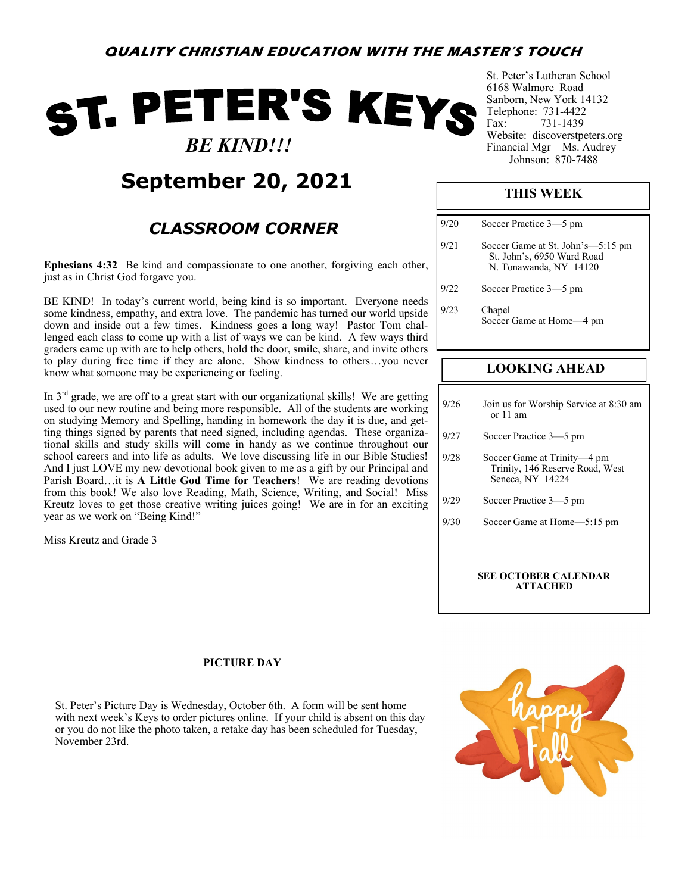# ST. PETER'S KEYS  *BE KIND!!!*

## **September 20, 2021**

### *CLASSROOM CORNER*

**Ephesians 4:32** Be kind and compassionate to one another, forgiving each other, just as in Christ God forgave you.

BE KIND! In today's current world, being kind is so important. Everyone needs some kindness, empathy, and extra love. The pandemic has turned our world upside down and inside out a few times. Kindness goes a long way! Pastor Tom challenged each class to come up with a list of ways we can be kind. A few ways third graders came up with are to help others, hold the door, smile, share, and invite others to play during free time if they are alone. Show kindness to others…you never know what someone may be experiencing or feeling.

In  $3<sup>rd</sup>$  grade, we are off to a great start with our organizational skills! We are getting used to our new routine and being more responsible. All of the students are working on studying Memory and Spelling, handing in homework the day it is due, and getting things signed by parents that need signed, including agendas. These organizational skills and study skills will come in handy as we continue throughout our school careers and into life as adults. We love discussing life in our Bible Studies! And I just LOVE my new devotional book given to me as a gift by our Principal and Parish Board…it is **A Little God Time for Teachers**! We are reading devotions from this book! We also love Reading, Math, Science, Writing, and Social! Miss Kreutz loves to get those creative writing juices going! We are in for an exciting year as we work on "Being Kind!"

Miss Kreutz and Grade 3

St. Peter's Lutheran School 6168 Walmore Road Sanborn, New York 14132 Telephone: 731-4422 Fax: 731-1439 Website: discoverstpeters.org Financial Mgr—Ms. Audrey Johnson: 870-7488

#### **THIS WEEK**

| 9/20 | Soccer Practice 3-5 pm                                                                    |
|------|-------------------------------------------------------------------------------------------|
| 9/21 | Soccer Game at St. John's-5:15 pm<br>St. John's, 6950 Ward Road<br>N. Tonawanda, NY 14120 |
| 9/22 | Soccer Practice 3-5 pm                                                                    |
| 9/23 | Chapel<br>Soccer Game at Home-4 pm                                                        |

#### **LOOKING AHEAD**

| 9/26 | Join us for Worship Service at 8:30 am<br>or $11$ am                               |
|------|------------------------------------------------------------------------------------|
| 9/27 | Soccer Practice 3-5 pm                                                             |
| 9/28 | Soccer Game at Trinity—4 pm<br>Trinity, 146 Reserve Road, West<br>Seneca, NY 14224 |
| 9/29 | Soccer Practice 3-5 pm                                                             |
| 9/30 | Soccer Game at Home—5:15 pm                                                        |
|      |                                                                                    |
|      | <b>SEE OCTOBER CALENDAR</b><br><b>ATTACHED</b>                                     |

#### **PICTURE DAY**

St. Peter's Picture Day is Wednesday, October 6th. A form will be sent home with next week's Keys to order pictures online. If your child is absent on this day or you do not like the photo taken, a retake day has been scheduled for Tuesday, November 23rd.

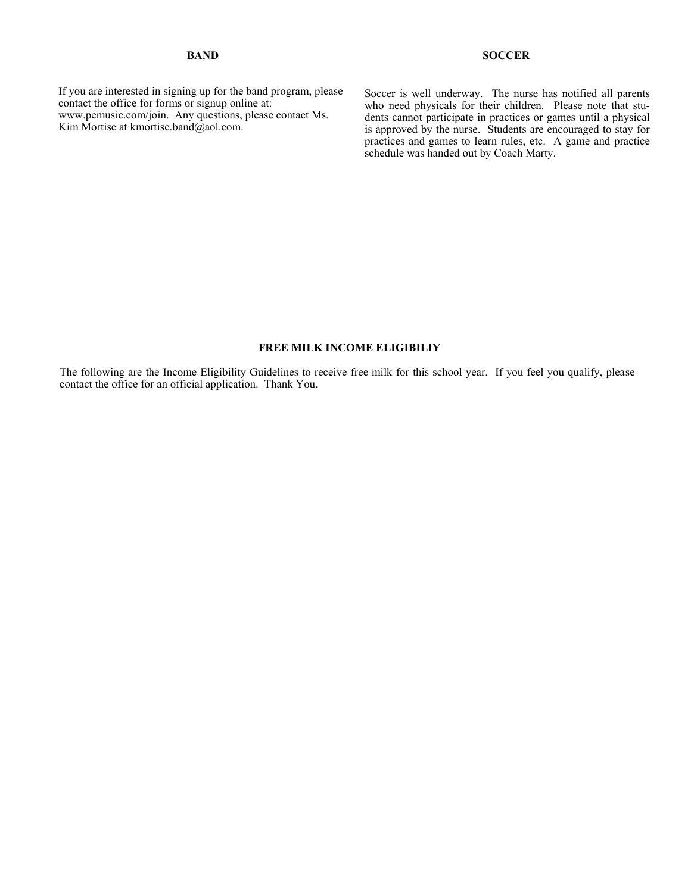#### **BAND**

If you are interested in signing up for the band program, please contact the office for forms or signup online at: www.pemusic.com/join. Any questions, please contact Ms. Kim Mortise at kmortise.band@aol.com.

Soccer is well underway. The nurse has notified all parents who need physicals for their children. Please note that students cannot participate in practices or games until a physical is approved by the nurse. Students are encouraged to stay for practices and games to learn rules, etc. A game and practice schedule was handed out by Coach Marty.

#### **FREE MILK INCOME ELIGIBILIY**

The following are the Income Eligibility Guidelines to receive free milk for this school year. If you feel you qualify, please contact the office for an official application. Thank You.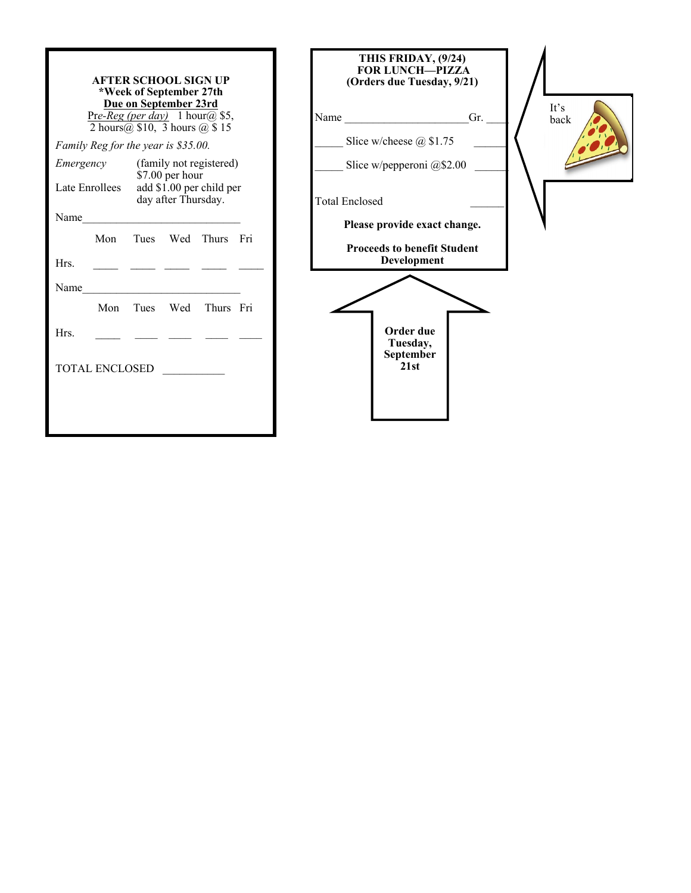| <b>AFTER SCHOOL SIGN UP</b><br>*Week of September 27th<br>Due on September 23rd<br>Pre-Reg (per day) 1 hour(a) \$5,<br>2 hours $(a)$ \$10, 3 hours $(a)$ \$15<br>Family Reg for the year is \$35.00. | THIS FRIDAY, (9/24)<br><b>FOR LUNCH-PIZZA</b><br>(Orders due Tuesday, 9/21)<br>It's<br>Name Gr.<br>back<br>Slice w/cheese $@$1.75$ |
|------------------------------------------------------------------------------------------------------------------------------------------------------------------------------------------------------|------------------------------------------------------------------------------------------------------------------------------------|
| (family not registered)<br>Emergency<br>\$7.00 per hour<br>Late Enrollees<br>add \$1.00 per child per<br>day after Thursday.                                                                         | Slice w/pepperoni @\$2.00<br><b>Total Enclosed</b>                                                                                 |
| Name<br>Mon<br>Tues Wed Thurs Fri<br>Hrs.<br>Name                                                                                                                                                    | Please provide exact change.<br><b>Proceeds to benefit Student</b><br>Development                                                  |
| Thurs Fri<br>Mon<br>Tues Wed<br>Hrs.<br>TOTAL ENCLOSED                                                                                                                                               | Order due<br>Tuesday,<br>September<br>21st                                                                                         |